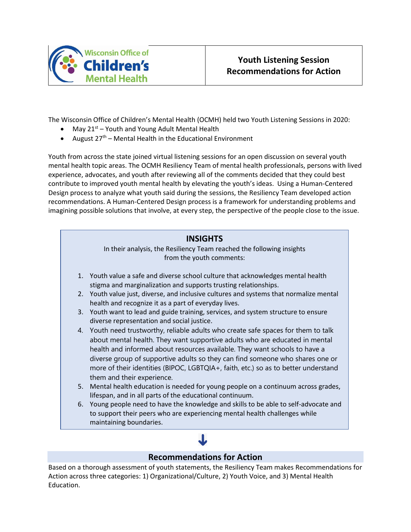

The Wisconsin Office of Children's Mental Health (OCMH) held two Youth Listening Sessions in 2020:

- May  $21^{st}$  Youth and Young Adult Mental Health
- August  $27<sup>th</sup>$  Mental Health in the Educational Environment

Youth from across the state joined virtual listening sessions for an open discussion on several youth mental health topic areas. The OCMH Resiliency Team of mental health professionals, persons with lived experience, advocates, and youth after reviewing all of the comments decided that they could best contribute to improved youth mental health by elevating the youth's ideas. Using a Human-Centered Design process to analyze what youth said during the sessions, the Resiliency Team developed action recommendations. A Human-Centered Design process is a framework for understanding problems and imagining possible solutions that involve, at every step, the perspective of the people close to the issue.



## **Recommendations for Action**

Based on a thorough assessment of youth statements, the Resiliency Team makes Recommendations for Action across three categories: 1) Organizational/Culture, 2) Youth Voice, and 3) Mental Health Education.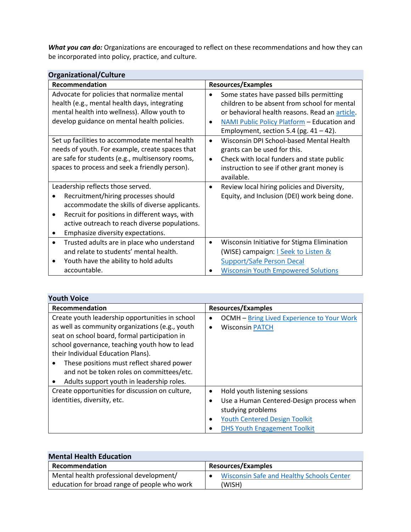*What you can do:* Organizations are encouraged to reflect on these recommendations and how they can be incorporated into policy, practice, and culture.

| <b>Organizational/Culture</b>                                                                                                                                                                                                                                                 |                                                                                                                                                                                                                                                                  |
|-------------------------------------------------------------------------------------------------------------------------------------------------------------------------------------------------------------------------------------------------------------------------------|------------------------------------------------------------------------------------------------------------------------------------------------------------------------------------------------------------------------------------------------------------------|
| Recommendation                                                                                                                                                                                                                                                                | <b>Resources/Examples</b>                                                                                                                                                                                                                                        |
| Advocate for policies that normalize mental<br>health (e.g., mental health days, integrating<br>mental health into wellness). Allow youth to<br>develop guidance on mental health policies.                                                                                   | Some states have passed bills permitting<br>$\bullet$<br>children to be absent from school for mental<br>or behavioral health reasons. Read an article.<br>NAMI Public Policy Platform - Education and<br>$\bullet$<br>Employment, section 5.4 (pg. $41 - 42$ ). |
| Set up facilities to accommodate mental health<br>needs of youth. For example, create spaces that<br>are safe for students (e.g., multisensory rooms,<br>spaces to process and seek a friendly person).                                                                       | Wisconsin DPI School-based Mental Health<br>$\bullet$<br>grants can be used for this.<br>Check with local funders and state public<br>$\bullet$<br>instruction to see if other grant money is<br>available.                                                      |
| Leadership reflects those served.<br>Recruitment/hiring processes should<br>accommodate the skills of diverse applicants.<br>Recruit for positions in different ways, with<br>$\bullet$<br>active outreach to reach diverse populations.<br>Emphasize diversity expectations. | Review local hiring policies and Diversity,<br>Equity, and Inclusion (DEI) work being done.                                                                                                                                                                      |
| Trusted adults are in place who understand<br>$\bullet$<br>and relate to students' mental health.<br>Youth have the ability to hold adults<br>accountable.                                                                                                                    | Wisconsin Initiative for Stigma Elimination<br>$\bullet$<br>(WISE) campaign: <b>I Seek to Listen &amp;</b><br><b>Support/Safe Person Decal</b><br><b>Wisconsin Youth Empowered Solutions</b>                                                                     |

| <b>Youth Voice</b>                                                                                                                                                                                                                                                                                                                   |                                                                                                            |
|--------------------------------------------------------------------------------------------------------------------------------------------------------------------------------------------------------------------------------------------------------------------------------------------------------------------------------------|------------------------------------------------------------------------------------------------------------|
| Recommendation                                                                                                                                                                                                                                                                                                                       | <b>Resources/Examples</b>                                                                                  |
| Create youth leadership opportunities in school<br>as well as community organizations (e.g., youth<br>seat on school board, formal participation in<br>school governance, teaching youth how to lead<br>their Individual Education Plans).<br>These positions must reflect shared power<br>and not be token roles on committees/etc. | <b>OCMH</b> - Bring Lived Experience to Your Work<br>٠<br><b>Wisconsin PATCH</b>                           |
| Adults support youth in leadership roles.                                                                                                                                                                                                                                                                                            |                                                                                                            |
| Create opportunities for discussion on culture,                                                                                                                                                                                                                                                                                      | Hold youth listening sessions<br>$\bullet$                                                                 |
| identities, diversity, etc.                                                                                                                                                                                                                                                                                                          | Use a Human Centered-Design process when<br>studying problems<br><b>Youth Centered Design Toolkit</b><br>٠ |
|                                                                                                                                                                                                                                                                                                                                      | <b>DHS Youth Engagement Toolkit</b>                                                                        |

| <b>Mental Health Education</b>                             |  |
|------------------------------------------------------------|--|
| <b>Resources/Examples</b>                                  |  |
| <b>Wisconsin Safe and Healthy Schools Center</b><br>(WISH) |  |
|                                                            |  |